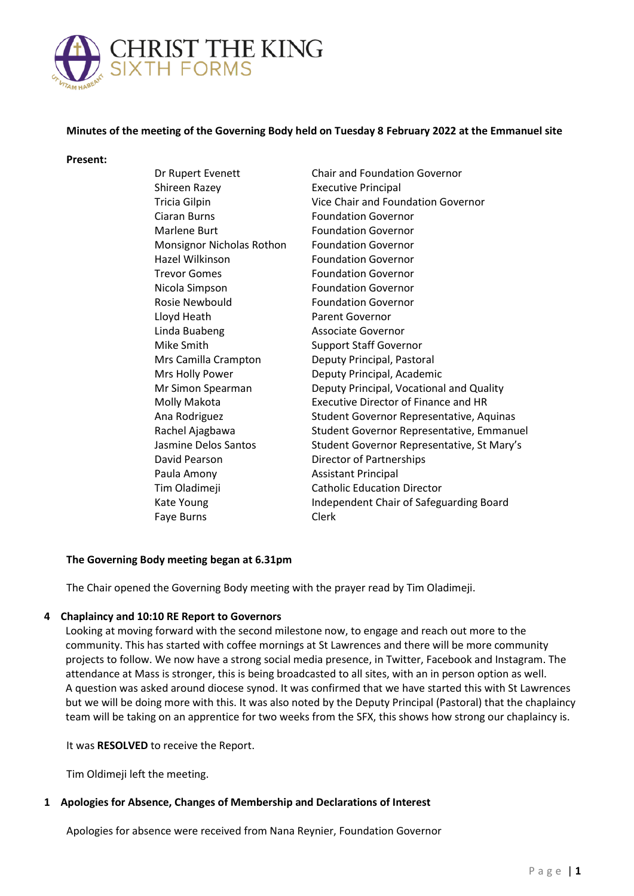

# **Minutes of the meeting of the Governing Body held on Tuesday 8 February 2022 at the Emmanuel site**

#### **Present:**

| Dr Rupert Evenett         | <b>Chair and Foundation Governor</b>        |
|---------------------------|---------------------------------------------|
| Shireen Razey             | <b>Executive Principal</b>                  |
| Tricia Gilpin             | Vice Chair and Foundation Governor          |
| Ciaran Burns              | <b>Foundation Governor</b>                  |
| Marlene Burt              | <b>Foundation Governor</b>                  |
| Monsignor Nicholas Rothon | <b>Foundation Governor</b>                  |
| Hazel Wilkinson           | <b>Foundation Governor</b>                  |
| <b>Trevor Gomes</b>       | <b>Foundation Governor</b>                  |
| Nicola Simpson            | <b>Foundation Governor</b>                  |
| Rosie Newbould            | <b>Foundation Governor</b>                  |
| Lloyd Heath               | Parent Governor                             |
| Linda Buabeng             | <b>Associate Governor</b>                   |
| Mike Smith                | <b>Support Staff Governor</b>               |
| Mrs Camilla Crampton      | Deputy Principal, Pastoral                  |
| Mrs Holly Power           | Deputy Principal, Academic                  |
| Mr Simon Spearman         | Deputy Principal, Vocational and Quality    |
| Molly Makota              | <b>Executive Director of Finance and HR</b> |
| Ana Rodriguez             | Student Governor Representative, Aquinas    |
| Rachel Ajagbawa           | Student Governor Representative, Emmanuel   |
| Jasmine Delos Santos      | Student Governor Representative, St Mary's  |
| David Pearson             | Director of Partnerships                    |
| Paula Amony               | <b>Assistant Principal</b>                  |
| Tim Oladimeji             | <b>Catholic Education Director</b>          |
| Kate Young                | Independent Chair of Safeguarding Board     |
| Faye Burns                | <b>Clerk</b>                                |
|                           |                                             |

### **The Governing Body meeting began at 6.31pm**

The Chair opened the Governing Body meeting with the prayer read by Tim Oladimeji.

### **4 Chaplaincy and 10:10 RE Report to Governors**

Looking at moving forward with the second milestone now, to engage and reach out more to the community. This has started with coffee mornings at St Lawrences and there will be more community projects to follow. We now have a strong social media presence, in Twitter, Facebook and Instagram. The attendance at Mass is stronger, this is being broadcasted to all sites, with an in person option as well. A question was asked around diocese synod. It was confirmed that we have started this with St Lawrences but we will be doing more with this. It was also noted by the Deputy Principal (Pastoral) that the chaplaincy team will be taking on an apprentice for two weeks from the SFX, this shows how strong our chaplaincy is.

### It was **RESOLVED** to receive the Report.

Tim Oldimeji left the meeting.

# **1 Apologies for Absence, Changes of Membership and Declarations of Interest**

Apologies for absence were received from Nana Reynier, Foundation Governor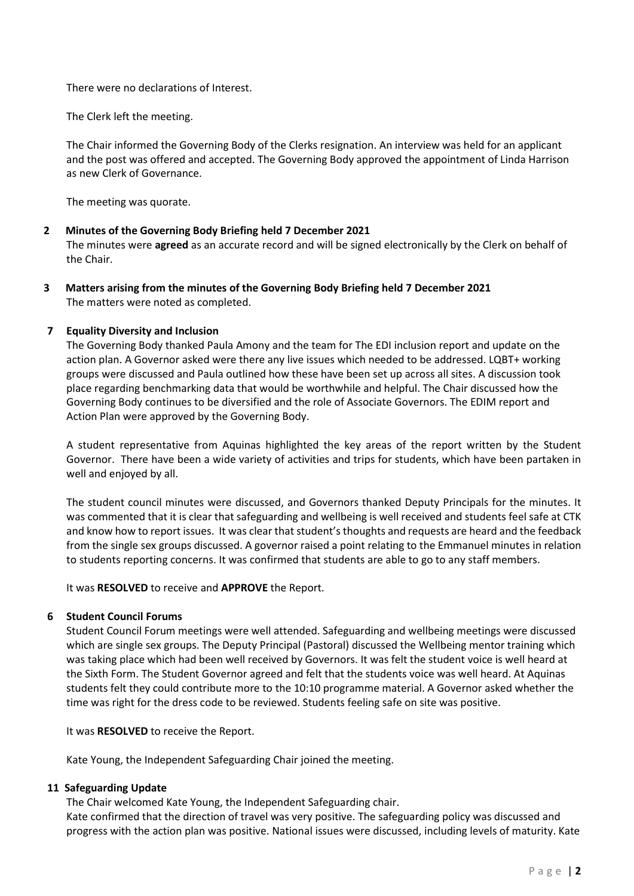There were no declarations of Interest.

The Clerk left the meeting.

The Chair informed the Governing Body of the Clerks resignation. An interview was held for an applicant and the post was offered and accepted. The Governing Body approved the appointment of Linda Harrison as new Clerk of Governance.

The meeting was quorate.

# **2 Minutes of the Governing Body Briefing held 7 December 2021**

The minutes were **agreed** as an accurate record and will be signed electronically by the Clerk on behalf of the Chair.

**3 Matters arising from the minutes of the Governing Body Briefing held 7 December 2021** The matters were noted as completed.

# **7 Equality Diversity and Inclusion**

The Governing Body thanked Paula Amony and the team for The EDI inclusion report and update on the action plan. A Governor asked were there any live issues which needed to be addressed. LQBT+ working groups were discussed and Paula outlined how these have been set up across all sites. A discussion took place regarding benchmarking data that would be worthwhile and helpful. The Chair discussed how the Governing Body continues to be diversified and the role of Associate Governors. The EDIM report and Action Plan were approved by the Governing Body.

A student representative from Aquinas highlighted the key areas of the report written by the Student Governor. There have been a wide variety of activities and trips for students, which have been partaken in well and enjoyed by all.

The student council minutes were discussed, and Governors thanked Deputy Principals for the minutes. It was commented that it is clear that safeguarding and wellbeing is well received and students feel safe at CTK and know how to report issues. It was clear that student's thoughts and requests are heard and the feedback from the single sex groups discussed. A governor raised a point relating to the Emmanuel minutes in relation to students reporting concerns. It was confirmed that students are able to go to any staff members.

It was **RESOLVED** to receive and **APPROVE** the Report.

# **6 Student Council Forums**

Student Council Forum meetings were well attended. Safeguarding and wellbeing meetings were discussed which are single sex groups. The Deputy Principal (Pastoral) discussed the Wellbeing mentor training which was taking place which had been well received by Governors. It was felt the student voice is well heard at the Sixth Form. The Student Governor agreed and felt that the students voice was well heard. At Aquinas students felt they could contribute more to the 10:10 programme material. A Governor asked whether the time was right for the dress code to be reviewed. Students feeling safe on site was positive.

It was **RESOLVED** to receive the Report.

Kate Young, the Independent Safeguarding Chair joined the meeting.

# **11 Safeguarding Update**

The Chair welcomed Kate Young, the Independent Safeguarding chair.

Kate confirmed that the direction of travel was very positive. The safeguarding policy was discussed and progress with the action plan was positive. National issues were discussed, including levels of maturity. Kate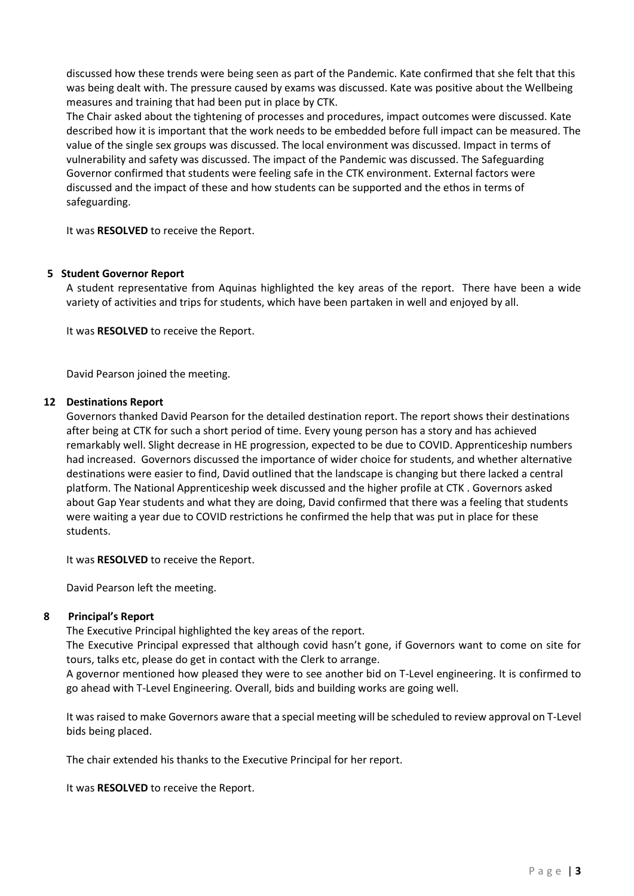discussed how these trends were being seen as part of the Pandemic. Kate confirmed that she felt that this was being dealt with. The pressure caused by exams was discussed. Kate was positive about the Wellbeing measures and training that had been put in place by CTK.

The Chair asked about the tightening of processes and procedures, impact outcomes were discussed. Kate described how it is important that the work needs to be embedded before full impact can be measured. The value of the single sex groups was discussed. The local environment was discussed. Impact in terms of vulnerability and safety was discussed. The impact of the Pandemic was discussed. The Safeguarding Governor confirmed that students were feeling safe in the CTK environment. External factors were discussed and the impact of these and how students can be supported and the ethos in terms of safeguarding.

It was **RESOLVED** to receive the Report.

## **5 Student Governor Report**

A student representative from Aquinas highlighted the key areas of the report. There have been a wide variety of activities and trips for students, which have been partaken in well and enjoyed by all.

It was **RESOLVED** to receive the Report.

David Pearson joined the meeting.

### **12 Destinations Report**

Governors thanked David Pearson for the detailed destination report. The report shows their destinations after being at CTK for such a short period of time. Every young person has a story and has achieved remarkably well. Slight decrease in HE progression, expected to be due to COVID. Apprenticeship numbers had increased. Governors discussed the importance of wider choice for students, and whether alternative destinations were easier to find, David outlined that the landscape is changing but there lacked a central platform. The National Apprenticeship week discussed and the higher profile at CTK . Governors asked about Gap Year students and what they are doing, David confirmed that there was a feeling that students were waiting a year due to COVID restrictions he confirmed the help that was put in place for these students.

It was **RESOLVED** to receive the Report.

David Pearson left the meeting.

# **8 Principal's Report**

The Executive Principal highlighted the key areas of the report.

The Executive Principal expressed that although covid hasn't gone, if Governors want to come on site for tours, talks etc, please do get in contact with the Clerk to arrange.

A governor mentioned how pleased they were to see another bid on T-Level engineering. It is confirmed to go ahead with T-Level Engineering. Overall, bids and building works are going well.

It was raised to make Governors aware that a special meeting will be scheduled to review approval on T-Level bids being placed.

The chair extended his thanks to the Executive Principal for her report.

It was **RESOLVED** to receive the Report.